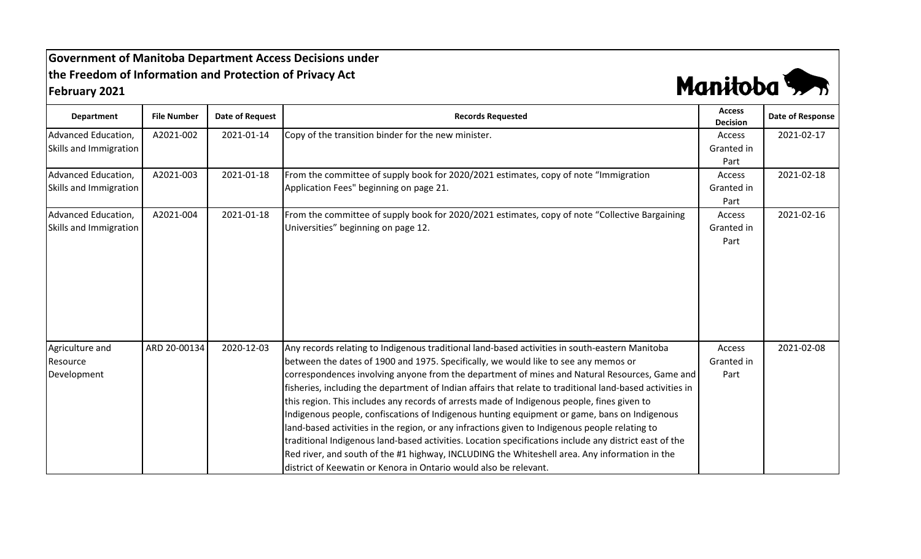## **Government of Manitoba Department Access Decisions under the Freedom of Information and Protection of Privacy Act February 2021**



| <b>Department</b>      | <b>File Number</b> | <b>Date of Request</b> | <b>Records Requested</b>                                                                                                                                                                                                                                                                                                                                                                                                                                                                                                                                                                                                                                                                                                                                                                    | <b>Access</b><br><b>Decision</b> | Date of Response |
|------------------------|--------------------|------------------------|---------------------------------------------------------------------------------------------------------------------------------------------------------------------------------------------------------------------------------------------------------------------------------------------------------------------------------------------------------------------------------------------------------------------------------------------------------------------------------------------------------------------------------------------------------------------------------------------------------------------------------------------------------------------------------------------------------------------------------------------------------------------------------------------|----------------------------------|------------------|
| Advanced Education,    | A2021-002          | 2021-01-14             | Copy of the transition binder for the new minister.                                                                                                                                                                                                                                                                                                                                                                                                                                                                                                                                                                                                                                                                                                                                         | Access                           | 2021-02-17       |
| Skills and Immigration |                    |                        |                                                                                                                                                                                                                                                                                                                                                                                                                                                                                                                                                                                                                                                                                                                                                                                             | Granted in                       |                  |
|                        |                    |                        |                                                                                                                                                                                                                                                                                                                                                                                                                                                                                                                                                                                                                                                                                                                                                                                             | Part                             |                  |
| Advanced Education,    | A2021-003          | 2021-01-18             | From the committee of supply book for 2020/2021 estimates, copy of note "Immigration"                                                                                                                                                                                                                                                                                                                                                                                                                                                                                                                                                                                                                                                                                                       | Access                           | 2021-02-18       |
| Skills and Immigration |                    |                        | Application Fees" beginning on page 21.                                                                                                                                                                                                                                                                                                                                                                                                                                                                                                                                                                                                                                                                                                                                                     | Granted in                       |                  |
|                        |                    |                        |                                                                                                                                                                                                                                                                                                                                                                                                                                                                                                                                                                                                                                                                                                                                                                                             | Part                             |                  |
| Advanced Education,    | A2021-004          | 2021-01-18             | From the committee of supply book for 2020/2021 estimates, copy of note "Collective Bargaining                                                                                                                                                                                                                                                                                                                                                                                                                                                                                                                                                                                                                                                                                              | Access                           | 2021-02-16       |
| Skills and Immigration |                    |                        | Universities" beginning on page 12.                                                                                                                                                                                                                                                                                                                                                                                                                                                                                                                                                                                                                                                                                                                                                         | Granted in                       |                  |
|                        |                    |                        |                                                                                                                                                                                                                                                                                                                                                                                                                                                                                                                                                                                                                                                                                                                                                                                             | Part                             |                  |
|                        |                    |                        |                                                                                                                                                                                                                                                                                                                                                                                                                                                                                                                                                                                                                                                                                                                                                                                             |                                  |                  |
|                        |                    |                        |                                                                                                                                                                                                                                                                                                                                                                                                                                                                                                                                                                                                                                                                                                                                                                                             |                                  |                  |
| Agriculture and        | ARD 20-00134       | 2020-12-03             | Any records relating to Indigenous traditional land-based activities in south-eastern Manitoba                                                                                                                                                                                                                                                                                                                                                                                                                                                                                                                                                                                                                                                                                              | Access                           | 2021-02-08       |
| Resource               |                    |                        | between the dates of 1900 and 1975. Specifically, we would like to see any memos or                                                                                                                                                                                                                                                                                                                                                                                                                                                                                                                                                                                                                                                                                                         | Granted in                       |                  |
| Development            |                    |                        | correspondences involving anyone from the department of mines and Natural Resources, Game and<br>fisheries, including the department of Indian affairs that relate to traditional land-based activities in<br>this region. This includes any records of arrests made of Indigenous people, fines given to<br>Indigenous people, confiscations of Indigenous hunting equipment or game, bans on Indigenous<br>land-based activities in the region, or any infractions given to Indigenous people relating to<br>traditional Indigenous land-based activities. Location specifications include any district east of the<br>Red river, and south of the #1 highway, INCLUDING the Whiteshell area. Any information in the<br>district of Keewatin or Kenora in Ontario would also be relevant. | Part                             |                  |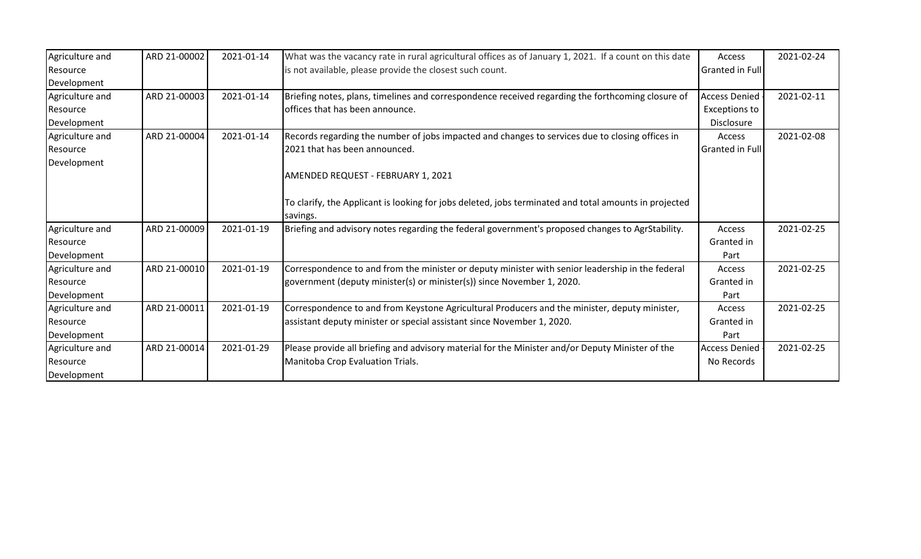| Agriculture and | ARD 21-00002 | 2021-01-14 | What was the vacancy rate in rural agricultural offices as of January 1, 2021. If a count on this date | Access                 | 2021-02-24 |
|-----------------|--------------|------------|--------------------------------------------------------------------------------------------------------|------------------------|------------|
| Resource        |              |            | is not available, please provide the closest such count.                                               | <b>Granted in Full</b> |            |
| Development     |              |            |                                                                                                        |                        |            |
| Agriculture and | ARD 21-00003 | 2021-01-14 | Briefing notes, plans, timelines and correspondence received regarding the forthcoming closure of      | <b>Access Denied</b>   | 2021-02-11 |
| Resource        |              |            | offices that has been announce.                                                                        | <b>Exceptions to</b>   |            |
| Development     |              |            |                                                                                                        | Disclosure             |            |
| Agriculture and | ARD 21-00004 | 2021-01-14 | Records regarding the number of jobs impacted and changes to services due to closing offices in        | Access                 | 2021-02-08 |
| Resource        |              |            | 2021 that has been announced.                                                                          | <b>Granted in Full</b> |            |
| Development     |              |            |                                                                                                        |                        |            |
|                 |              |            | AMENDED REQUEST - FEBRUARY 1, 2021                                                                     |                        |            |
|                 |              |            |                                                                                                        |                        |            |
|                 |              |            | To clarify, the Applicant is looking for jobs deleted, jobs terminated and total amounts in projected  |                        |            |
|                 |              |            | savings.                                                                                               |                        |            |
| Agriculture and | ARD 21-00009 | 2021-01-19 | Briefing and advisory notes regarding the federal government's proposed changes to AgrStability.       | Access                 | 2021-02-25 |
| Resource        |              |            |                                                                                                        | Granted in             |            |
| Development     |              |            |                                                                                                        | Part                   |            |
| Agriculture and | ARD 21-00010 | 2021-01-19 | Correspondence to and from the minister or deputy minister with senior leadership in the federal       | Access                 | 2021-02-25 |
| Resource        |              |            | government (deputy minister(s) or minister(s)) since November 1, 2020.                                 | Granted in             |            |
| Development     |              |            |                                                                                                        | Part                   |            |
| Agriculture and | ARD 21-00011 | 2021-01-19 | Correspondence to and from Keystone Agricultural Producers and the minister, deputy minister,          | Access                 | 2021-02-25 |
| Resource        |              |            | assistant deputy minister or special assistant since November 1, 2020.                                 | Granted in             |            |
| Development     |              |            |                                                                                                        | Part                   |            |
| Agriculture and | ARD 21-00014 | 2021-01-29 | Please provide all briefing and advisory material for the Minister and/or Deputy Minister of the       | <b>Access Denied</b>   | 2021-02-25 |
| Resource        |              |            | Manitoba Crop Evaluation Trials.                                                                       | No Records             |            |
| Development     |              |            |                                                                                                        |                        |            |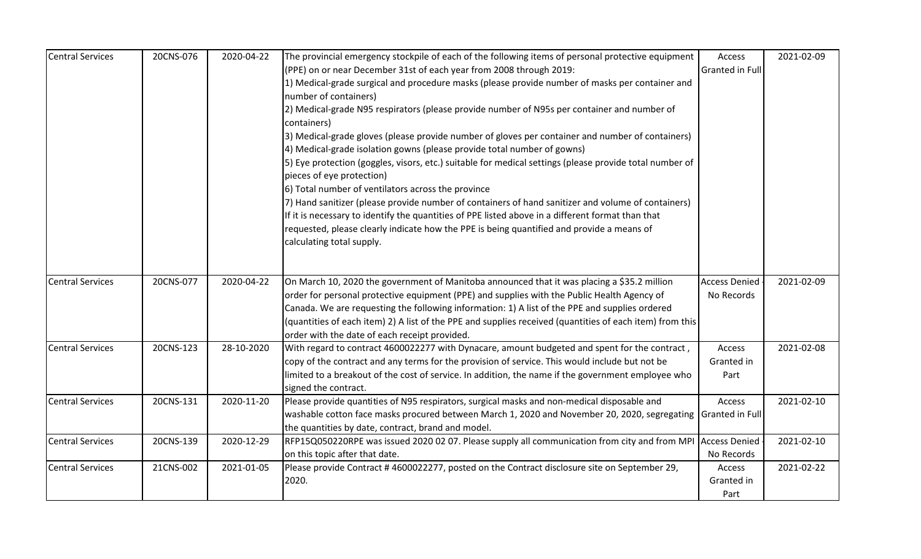| <b>Central Services</b> | 20CNS-076 | 2020-04-22 | The provincial emergency stockpile of each of the following items of personal protective equipment                                                                                                   | Access               | 2021-02-09 |
|-------------------------|-----------|------------|------------------------------------------------------------------------------------------------------------------------------------------------------------------------------------------------------|----------------------|------------|
|                         |           |            | (PPE) on or near December 31st of each year from 2008 through 2019:                                                                                                                                  | Granted in Full      |            |
|                         |           |            | 1) Medical-grade surgical and procedure masks (please provide number of masks per container and                                                                                                      |                      |            |
|                         |           |            | number of containers)                                                                                                                                                                                |                      |            |
|                         |           |            | 2) Medical-grade N95 respirators (please provide number of N95s per container and number of                                                                                                          |                      |            |
|                         |           |            | containers)                                                                                                                                                                                          |                      |            |
|                         |           |            | 3) Medical-grade gloves (please provide number of gloves per container and number of containers)                                                                                                     |                      |            |
|                         |           |            | 4) Medical-grade isolation gowns (please provide total number of gowns)                                                                                                                              |                      |            |
|                         |           |            | 5) Eye protection (goggles, visors, etc.) suitable for medical settings (please provide total number of<br>pieces of eye protection)                                                                 |                      |            |
|                         |           |            | 6) Total number of ventilators across the province                                                                                                                                                   |                      |            |
|                         |           |            | 7) Hand sanitizer (please provide number of containers of hand sanitizer and volume of containers)                                                                                                   |                      |            |
|                         |           |            | If it is necessary to identify the quantities of PPE listed above in a different format than that                                                                                                    |                      |            |
|                         |           |            | requested, please clearly indicate how the PPE is being quantified and provide a means of                                                                                                            |                      |            |
|                         |           |            | calculating total supply.                                                                                                                                                                            |                      |            |
|                         |           |            |                                                                                                                                                                                                      |                      |            |
|                         |           |            |                                                                                                                                                                                                      |                      |            |
| <b>Central Services</b> | 20CNS-077 | 2020-04-22 | On March 10, 2020 the government of Manitoba announced that it was placing a \$35.2 million                                                                                                          | <b>Access Denied</b> | 2021-02-09 |
|                         |           |            | order for personal protective equipment (PPE) and supplies with the Public Health Agency of                                                                                                          | No Records           |            |
|                         |           |            | Canada. We are requesting the following information: 1) A list of the PPE and supplies ordered                                                                                                       |                      |            |
|                         |           |            | (quantities of each item) 2) A list of the PPE and supplies received (quantities of each item) from this                                                                                             |                      |            |
|                         |           |            | order with the date of each receipt provided.                                                                                                                                                        |                      |            |
| <b>Central Services</b> | 20CNS-123 | 28-10-2020 | With regard to contract 4600022277 with Dynacare, amount budgeted and spent for the contract,                                                                                                        | Access               | 2021-02-08 |
|                         |           |            | copy of the contract and any terms for the provision of service. This would include but not be<br>limited to a breakout of the cost of service. In addition, the name if the government employee who | Granted in           |            |
|                         |           |            |                                                                                                                                                                                                      | Part                 |            |
| <b>Central Services</b> | 20CNS-131 | 2020-11-20 | signed the contract.<br>Please provide quantities of N95 respirators, surgical masks and non-medical disposable and                                                                                  | Access               | 2021-02-10 |
|                         |           |            | washable cotton face masks procured between March 1, 2020 and November 20, 2020, segregating Granted in Full                                                                                         |                      |            |
|                         |           |            | the quantities by date, contract, brand and model.                                                                                                                                                   |                      |            |
| <b>Central Services</b> | 20CNS-139 | 2020-12-29 | RFP15Q050220RPE was issued 2020 02 07. Please supply all communication from city and from MPI Access Denied                                                                                          |                      | 2021-02-10 |
|                         |           |            | on this topic after that date.                                                                                                                                                                       | No Records           |            |
| <b>Central Services</b> | 21CNS-002 | 2021-01-05 | Please provide Contract #4600022277, posted on the Contract disclosure site on September 29,                                                                                                         | Access               | 2021-02-22 |
|                         |           |            | 2020.                                                                                                                                                                                                | Granted in           |            |
|                         |           |            |                                                                                                                                                                                                      | Part                 |            |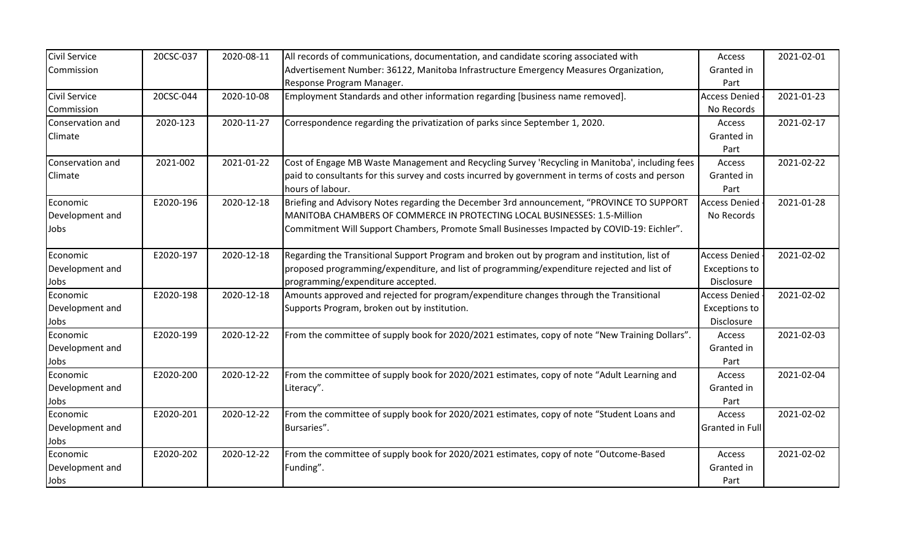| <b>Civil Service</b> | 20CSC-037 | 2020-08-11 | All records of communications, documentation, and candidate scoring associated with               | Access               | 2021-02-01 |
|----------------------|-----------|------------|---------------------------------------------------------------------------------------------------|----------------------|------------|
| Commission           |           |            | Advertisement Number: 36122, Manitoba Infrastructure Emergency Measures Organization,             | Granted in           |            |
|                      |           |            | Response Program Manager.                                                                         | Part                 |            |
| Civil Service        | 20CSC-044 | 2020-10-08 | Employment Standards and other information regarding [business name removed].                     | <b>Access Denied</b> | 2021-01-23 |
| Commission           |           |            |                                                                                                   | No Records           |            |
| Conservation and     | 2020-123  | 2020-11-27 | Correspondence regarding the privatization of parks since September 1, 2020.                      | Access               | 2021-02-17 |
| Climate              |           |            |                                                                                                   | Granted in           |            |
|                      |           |            |                                                                                                   | Part                 |            |
| Conservation and     | 2021-002  | 2021-01-22 | Cost of Engage MB Waste Management and Recycling Survey 'Recycling in Manitoba', including fees   | Access               | 2021-02-22 |
| Climate              |           |            | paid to consultants for this survey and costs incurred by government in terms of costs and person | Granted in           |            |
|                      |           |            | hours of labour.                                                                                  | Part                 |            |
| Economic             | E2020-196 | 2020-12-18 | Briefing and Advisory Notes regarding the December 3rd announcement, "PROVINCE TO SUPPORT         | <b>Access Denied</b> | 2021-01-28 |
| Development and      |           |            | MANITOBA CHAMBERS OF COMMERCE IN PROTECTING LOCAL BUSINESSES: 1.5-Million                         | No Records           |            |
| Jobs                 |           |            | Commitment Will Support Chambers, Promote Small Businesses Impacted by COVID-19: Eichler".        |                      |            |
|                      |           |            |                                                                                                   |                      |            |
| Economic             | E2020-197 | 2020-12-18 | Regarding the Transitional Support Program and broken out by program and institution, list of     | <b>Access Denied</b> | 2021-02-02 |
| Development and      |           |            | proposed programming/expenditure, and list of programming/expenditure rejected and list of        | <b>Exceptions to</b> |            |
| Jobs                 |           |            | programming/expenditure accepted.                                                                 | Disclosure           |            |
| Economic             | E2020-198 | 2020-12-18 | Amounts approved and rejected for program/expenditure changes through the Transitional            | <b>Access Denied</b> | 2021-02-02 |
| Development and      |           |            | Supports Program, broken out by institution.                                                      | <b>Exceptions to</b> |            |
| Jobs                 |           |            |                                                                                                   | Disclosure           |            |
| Economic             | E2020-199 | 2020-12-22 | From the committee of supply book for 2020/2021 estimates, copy of note "New Training Dollars".   | Access               | 2021-02-03 |
| Development and      |           |            |                                                                                                   | Granted in           |            |
| Jobs                 |           |            |                                                                                                   | Part                 |            |
| Economic             | E2020-200 | 2020-12-22 | From the committee of supply book for 2020/2021 estimates, copy of note "Adult Learning and       | Access               | 2021-02-04 |
| Development and      |           |            | Literacy".                                                                                        | Granted in           |            |
| Jobs                 |           |            |                                                                                                   | Part                 |            |
| Economic             | E2020-201 | 2020-12-22 | From the committee of supply book for 2020/2021 estimates, copy of note "Student Loans and        | Access               | 2021-02-02 |
| Development and      |           |            | Bursaries".                                                                                       | Granted in Full      |            |
| Jobs                 |           |            |                                                                                                   |                      |            |
| Economic             | E2020-202 | 2020-12-22 | From the committee of supply book for 2020/2021 estimates, copy of note "Outcome-Based            | Access               | 2021-02-02 |
| Development and      |           |            | Funding".                                                                                         | Granted in           |            |
| Jobs                 |           |            |                                                                                                   | Part                 |            |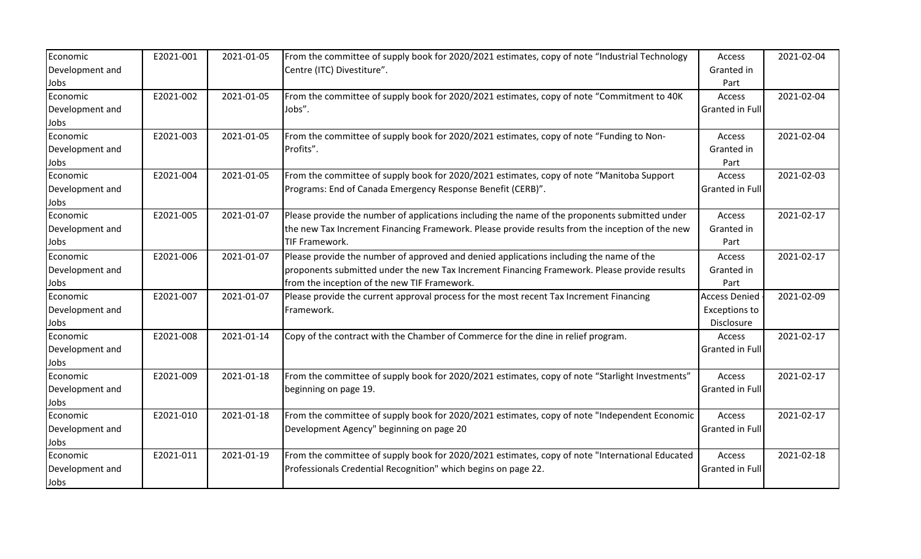| Economic        | E2021-001 | 2021-01-05 | From the committee of supply book for 2020/2021 estimates, copy of note "Industrial Technology  | Access               | 2021-02-04 |
|-----------------|-----------|------------|-------------------------------------------------------------------------------------------------|----------------------|------------|
| Development and |           |            | Centre (ITC) Divestiture".                                                                      | Granted in           |            |
| Jobs            |           |            |                                                                                                 | Part                 |            |
| Economic        | E2021-002 | 2021-01-05 | From the committee of supply book for 2020/2021 estimates, copy of note "Commitment to 40K      | Access               | 2021-02-04 |
| Development and |           |            | Jobs".                                                                                          | Granted in Full      |            |
| Jobs            |           |            |                                                                                                 |                      |            |
| Economic        | E2021-003 | 2021-01-05 | From the committee of supply book for 2020/2021 estimates, copy of note "Funding to Non-        | Access               | 2021-02-04 |
| Development and |           |            | Profits".                                                                                       | Granted in           |            |
| Jobs            |           |            |                                                                                                 | Part                 |            |
| Economic        | E2021-004 | 2021-01-05 | From the committee of supply book for 2020/2021 estimates, copy of note "Manitoba Support"      | Access               | 2021-02-03 |
| Development and |           |            | Programs: End of Canada Emergency Response Benefit (CERB)".                                     | Granted in Full      |            |
| Jobs            |           |            |                                                                                                 |                      |            |
| Economic        | E2021-005 | 2021-01-07 | Please provide the number of applications including the name of the proponents submitted under  | Access               | 2021-02-17 |
| Development and |           |            | the new Tax Increment Financing Framework. Please provide results from the inception of the new | Granted in           |            |
| Jobs            |           |            | <b>TIF Framework.</b>                                                                           | Part                 |            |
| Economic        | E2021-006 | 2021-01-07 | Please provide the number of approved and denied applications including the name of the         | Access               | 2021-02-17 |
| Development and |           |            | proponents submitted under the new Tax Increment Financing Framework. Please provide results    | Granted in           |            |
| Jobs            |           |            | from the inception of the new TIF Framework.                                                    | Part                 |            |
| Economic        | E2021-007 | 2021-01-07 | Please provide the current approval process for the most recent Tax Increment Financing         | <b>Access Denied</b> | 2021-02-09 |
| Development and |           |            | Framework.                                                                                      | <b>Exceptions to</b> |            |
| Jobs            |           |            |                                                                                                 | Disclosure           |            |
| Economic        | E2021-008 | 2021-01-14 | Copy of the contract with the Chamber of Commerce for the dine in relief program.               | Access               | 2021-02-17 |
| Development and |           |            |                                                                                                 | Granted in Full      |            |
| Jobs            |           |            |                                                                                                 |                      |            |
| Economic        | E2021-009 | 2021-01-18 | From the committee of supply book for 2020/2021 estimates, copy of note "Starlight Investments" | Access               | 2021-02-17 |
| Development and |           |            | beginning on page 19.                                                                           | Granted in Full      |            |
| Jobs            |           |            |                                                                                                 |                      |            |
| Economic        | E2021-010 | 2021-01-18 | From the committee of supply book for 2020/2021 estimates, copy of note "Independent Economic   | Access               | 2021-02-17 |
| Development and |           |            | Development Agency" beginning on page 20                                                        | Granted in Full      |            |
| Jobs            |           |            |                                                                                                 |                      |            |
| Economic        | E2021-011 | 2021-01-19 | From the committee of supply book for 2020/2021 estimates, copy of note "International Educated | Access               | 2021-02-18 |
| Development and |           |            | Professionals Credential Recognition" which begins on page 22.                                  | Granted in Full      |            |
| Jobs            |           |            |                                                                                                 |                      |            |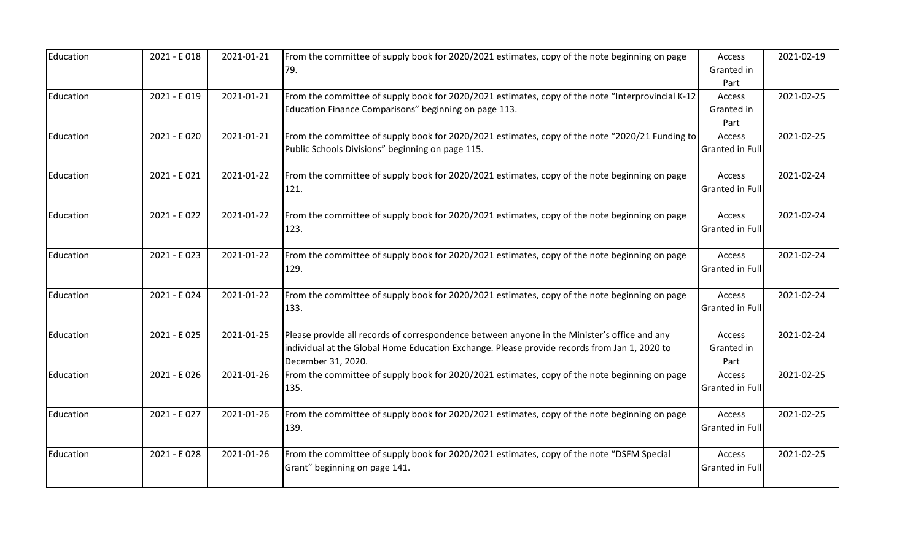| Education | 2021 - E 018 | 2021-01-21 | From the committee of supply book for 2020/2021 estimates, copy of the note beginning on page     | Access                 | 2021-02-19 |
|-----------|--------------|------------|---------------------------------------------------------------------------------------------------|------------------------|------------|
|           |              |            | 79.                                                                                               | Granted in             |            |
|           |              |            |                                                                                                   | Part                   |            |
| Education | 2021 - E 019 | 2021-01-21 | From the committee of supply book for 2020/2021 estimates, copy of the note "Interprovincial K-12 | Access                 | 2021-02-25 |
|           |              |            | Education Finance Comparisons" beginning on page 113.                                             | Granted in             |            |
|           |              |            |                                                                                                   | Part                   |            |
| Education | 2021 - E020  | 2021-01-21 | From the committee of supply book for 2020/2021 estimates, copy of the note "2020/21 Funding to   | Access                 | 2021-02-25 |
|           |              |            | Public Schools Divisions" beginning on page 115.                                                  | <b>Granted in Full</b> |            |
| Education | 2021 - E021  | 2021-01-22 | From the committee of supply book for 2020/2021 estimates, copy of the note beginning on page     | Access                 | 2021-02-24 |
|           |              |            | 121.                                                                                              | <b>Granted in Full</b> |            |
| Education | 2021 - E022  | 2021-01-22 | From the committee of supply book for 2020/2021 estimates, copy of the note beginning on page     | Access                 | 2021-02-24 |
|           |              |            | 123.                                                                                              | <b>Granted in Full</b> |            |
| Education | 2021 - E023  | 2021-01-22 | From the committee of supply book for 2020/2021 estimates, copy of the note beginning on page     | Access                 | 2021-02-24 |
|           |              |            | 129.                                                                                              | <b>Granted in Full</b> |            |
| Education | 2021 - E024  | 2021-01-22 | From the committee of supply book for 2020/2021 estimates, copy of the note beginning on page     | Access                 | 2021-02-24 |
|           |              |            | 133.                                                                                              | <b>Granted in Full</b> |            |
| Education | 2021 - E025  | 2021-01-25 | Please provide all records of correspondence between anyone in the Minister's office and any      | Access                 | 2021-02-24 |
|           |              |            | individual at the Global Home Education Exchange. Please provide records from Jan 1, 2020 to      | Granted in             |            |
|           |              |            | December 31, 2020.                                                                                | Part                   |            |
| Education | 2021 - E026  | 2021-01-26 | From the committee of supply book for 2020/2021 estimates, copy of the note beginning on page     | Access                 | 2021-02-25 |
|           |              |            | 135.                                                                                              | <b>Granted in Full</b> |            |
| Education | 2021 - E027  | 2021-01-26 | From the committee of supply book for 2020/2021 estimates, copy of the note beginning on page     | Access                 | 2021-02-25 |
|           |              |            | 139.                                                                                              | <b>Granted in Full</b> |            |
| Education | 2021 - E028  | 2021-01-26 | From the committee of supply book for 2020/2021 estimates, copy of the note "DSFM Special         | Access                 | 2021-02-25 |
|           |              |            | Grant" beginning on page 141.                                                                     | <b>Granted in Full</b> |            |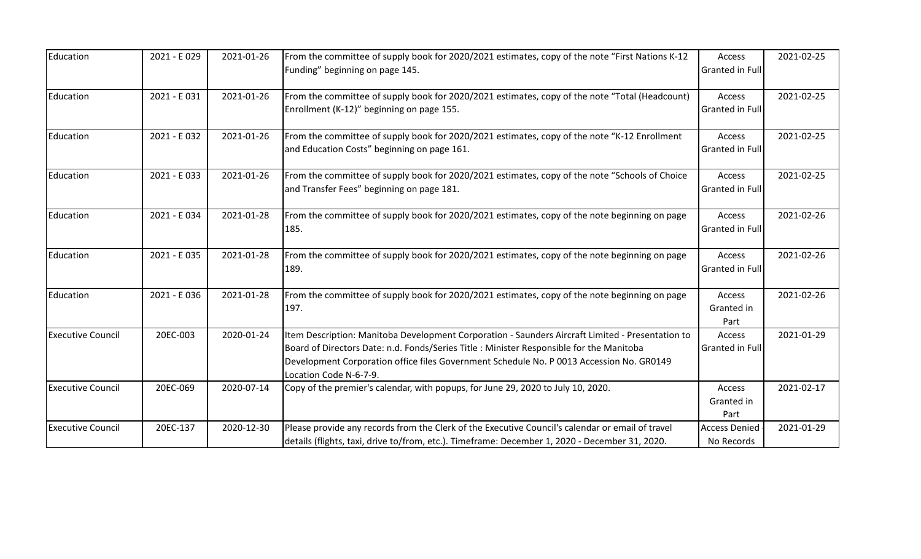| Education                | 2021 - E029 | 2021-01-26 | From the committee of supply book for 2020/2021 estimates, copy of the note "First Nations K-12<br>Funding" beginning on page 145.                                                                                                                                                                                 | Access<br>Granted in Full          | 2021-02-25 |
|--------------------------|-------------|------------|--------------------------------------------------------------------------------------------------------------------------------------------------------------------------------------------------------------------------------------------------------------------------------------------------------------------|------------------------------------|------------|
| Education                | 2021 - E031 | 2021-01-26 | From the committee of supply book for 2020/2021 estimates, copy of the note "Total (Headcount)<br>Enrollment (K-12)" beginning on page 155.                                                                                                                                                                        | Access<br>Granted in Full          | 2021-02-25 |
| Education                | 2021 - E032 | 2021-01-26 | From the committee of supply book for 2020/2021 estimates, copy of the note "K-12 Enrollment<br>and Education Costs" beginning on page 161.                                                                                                                                                                        | Access<br>Granted in Full          | 2021-02-25 |
| Education                | 2021 - E033 | 2021-01-26 | From the committee of supply book for 2020/2021 estimates, copy of the note "Schools of Choice<br>and Transfer Fees" beginning on page 181.                                                                                                                                                                        | Access<br>Granted in Full          | 2021-02-25 |
| Education                | 2021 - E034 | 2021-01-28 | From the committee of supply book for 2020/2021 estimates, copy of the note beginning on page<br>185.                                                                                                                                                                                                              | Access<br>Granted in Full          | 2021-02-26 |
| Education                | 2021 - E035 | 2021-01-28 | From the committee of supply book for 2020/2021 estimates, copy of the note beginning on page<br>189.                                                                                                                                                                                                              | Access<br>Granted in Full          | 2021-02-26 |
| Education                | 2021 - E036 | 2021-01-28 | From the committee of supply book for 2020/2021 estimates, copy of the note beginning on page<br>197.                                                                                                                                                                                                              | Access<br>Granted in<br>Part       | 2021-02-26 |
| <b>Executive Council</b> | 20EC-003    | 2020-01-24 | Item Description: Manitoba Development Corporation - Saunders Aircraft Limited - Presentation to<br>Board of Directors Date: n.d. Fonds/Series Title : Minister Responsible for the Manitoba<br>Development Corporation office files Government Schedule No. P 0013 Accession No. GR0149<br>Location Code N-6-7-9. | Access<br>Granted in Full          | 2021-01-29 |
| <b>Executive Council</b> | 20EC-069    | 2020-07-14 | Copy of the premier's calendar, with popups, for June 29, 2020 to July 10, 2020.                                                                                                                                                                                                                                   | Access<br>Granted in<br>Part       | 2021-02-17 |
| <b>Executive Council</b> | 20EC-137    | 2020-12-30 | Please provide any records from the Clerk of the Executive Council's calendar or email of travel<br>details (flights, taxi, drive to/from, etc.). Timeframe: December 1, 2020 - December 31, 2020.                                                                                                                 | <b>Access Denied</b><br>No Records | 2021-01-29 |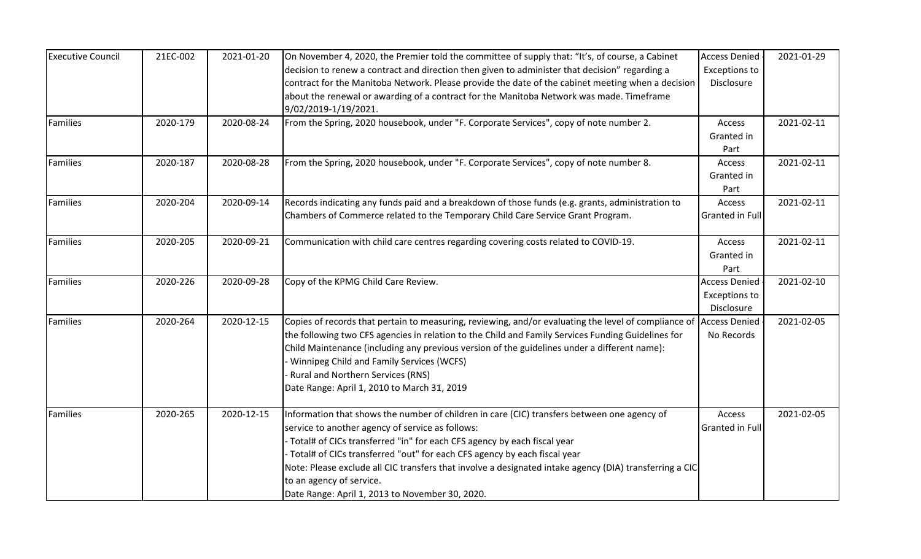| <b>Executive Council</b> | 21EC-002 | 2021-01-20 | On November 4, 2020, the Premier told the committee of supply that: "It's, of course, a Cabinet                                                                                                     | <b>Access Denied</b>               | 2021-01-29 |
|--------------------------|----------|------------|-----------------------------------------------------------------------------------------------------------------------------------------------------------------------------------------------------|------------------------------------|------------|
|                          |          |            | decision to renew a contract and direction then given to administer that decision" regarding a<br>contract for the Manitoba Network. Please provide the date of the cabinet meeting when a decision | <b>Exceptions to</b><br>Disclosure |            |
|                          |          |            | about the renewal or awarding of a contract for the Manitoba Network was made. Timeframe                                                                                                            |                                    |            |
|                          |          |            | 9/02/2019-1/19/2021.                                                                                                                                                                                |                                    |            |
| <b>Families</b>          | 2020-179 | 2020-08-24 | From the Spring, 2020 housebook, under "F. Corporate Services", copy of note number 2.                                                                                                              | Access                             | 2021-02-11 |
|                          |          |            |                                                                                                                                                                                                     | Granted in                         |            |
|                          |          |            |                                                                                                                                                                                                     | Part                               |            |
| Families                 | 2020-187 | 2020-08-28 | From the Spring, 2020 housebook, under "F. Corporate Services", copy of note number 8.                                                                                                              | Access                             | 2021-02-11 |
|                          |          |            |                                                                                                                                                                                                     | Granted in                         |            |
|                          |          |            |                                                                                                                                                                                                     | Part                               |            |
| Families                 | 2020-204 | 2020-09-14 | Records indicating any funds paid and a breakdown of those funds (e.g. grants, administration to                                                                                                    | Access                             | 2021-02-11 |
|                          |          |            | Chambers of Commerce related to the Temporary Child Care Service Grant Program.                                                                                                                     | Granted in Full                    |            |
| Families                 | 2020-205 | 2020-09-21 | Communication with child care centres regarding covering costs related to COVID-19.                                                                                                                 | Access                             | 2021-02-11 |
|                          |          |            |                                                                                                                                                                                                     | Granted in                         |            |
|                          |          |            |                                                                                                                                                                                                     | Part                               |            |
| Families                 | 2020-226 | 2020-09-28 | Copy of the KPMG Child Care Review.                                                                                                                                                                 | <b>Access Denied</b>               | 2021-02-10 |
|                          |          |            |                                                                                                                                                                                                     | <b>Exceptions to</b>               |            |
|                          |          |            |                                                                                                                                                                                                     | Disclosure                         |            |
| Families                 | 2020-264 | 2020-12-15 | Copies of records that pertain to measuring, reviewing, and/or evaluating the level of compliance of                                                                                                | <b>Access Denied</b>               | 2021-02-05 |
|                          |          |            | the following two CFS agencies in relation to the Child and Family Services Funding Guidelines for                                                                                                  | No Records                         |            |
|                          |          |            | Child Maintenance (including any previous version of the guidelines under a different name):                                                                                                        |                                    |            |
|                          |          |            | Winnipeg Child and Family Services (WCFS)                                                                                                                                                           |                                    |            |
|                          |          |            | Rural and Northern Services (RNS)                                                                                                                                                                   |                                    |            |
|                          |          |            | Date Range: April 1, 2010 to March 31, 2019                                                                                                                                                         |                                    |            |
| Families                 | 2020-265 | 2020-12-15 | Information that shows the number of children in care (CIC) transfers between one agency of                                                                                                         | Access                             | 2021-02-05 |
|                          |          |            | service to another agency of service as follows:                                                                                                                                                    | <b>Granted in Full</b>             |            |
|                          |          |            | - Total# of CICs transferred "in" for each CFS agency by each fiscal year                                                                                                                           |                                    |            |
|                          |          |            | Total# of CICs transferred "out" for each CFS agency by each fiscal year                                                                                                                            |                                    |            |
|                          |          |            | Note: Please exclude all CIC transfers that involve a designated intake agency (DIA) transferring a CIC                                                                                             |                                    |            |
|                          |          |            | to an agency of service.                                                                                                                                                                            |                                    |            |
|                          |          |            | Date Range: April 1, 2013 to November 30, 2020.                                                                                                                                                     |                                    |            |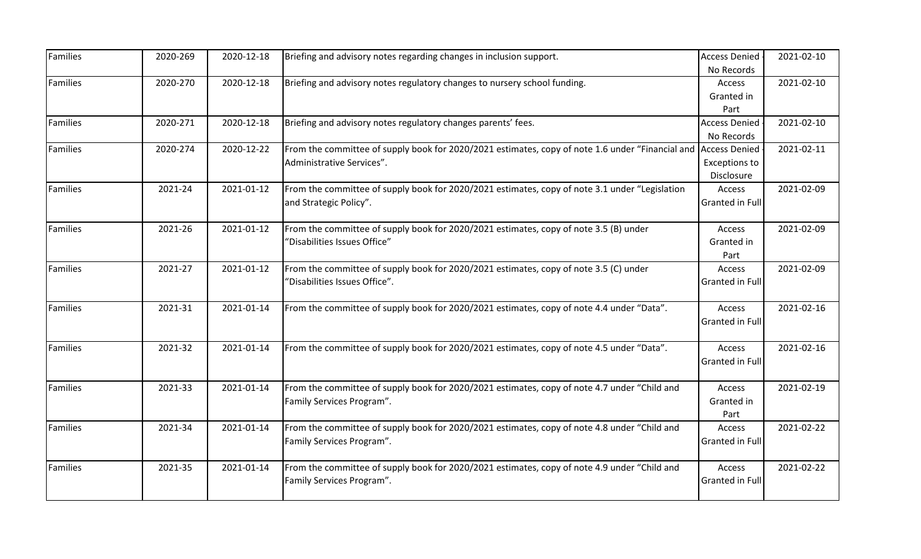| Families        | 2020-269 | 2020-12-18 | Briefing and advisory notes regarding changes in inclusion support.                              | <b>Access Denied</b>   | 2021-02-10 |
|-----------------|----------|------------|--------------------------------------------------------------------------------------------------|------------------------|------------|
| Families        | 2020-270 | 2020-12-18 | Briefing and advisory notes regulatory changes to nursery school funding.                        | No Records<br>Access   | 2021-02-10 |
|                 |          |            |                                                                                                  | Granted in             |            |
|                 |          |            |                                                                                                  | Part                   |            |
| Families        | 2020-271 | 2020-12-18 | Briefing and advisory notes regulatory changes parents' fees.                                    | <b>Access Denied</b>   | 2021-02-10 |
|                 |          |            |                                                                                                  | No Records             |            |
| Families        | 2020-274 | 2020-12-22 | From the committee of supply book for 2020/2021 estimates, copy of note 1.6 under "Financial and | <b>Access Denied</b>   | 2021-02-11 |
|                 |          |            | Administrative Services".                                                                        | <b>Exceptions to</b>   |            |
|                 |          |            |                                                                                                  | Disclosure             |            |
| <b>Families</b> | 2021-24  | 2021-01-12 | From the committee of supply book for 2020/2021 estimates, copy of note 3.1 under "Legislation   | Access                 | 2021-02-09 |
|                 |          |            | and Strategic Policy".                                                                           | Granted in Full        |            |
| <b>Families</b> | 2021-26  | 2021-01-12 | From the committee of supply book for 2020/2021 estimates, copy of note 3.5 (B) under            | Access                 | 2021-02-09 |
|                 |          |            | "Disabilities Issues Office"                                                                     | Granted in             |            |
|                 |          |            |                                                                                                  | Part                   |            |
| Families        | 2021-27  | 2021-01-12 | From the committee of supply book for 2020/2021 estimates, copy of note 3.5 (C) under            | Access                 | 2021-02-09 |
|                 |          |            | "Disabilities Issues Office".                                                                    | Granted in Full        |            |
| Families        | 2021-31  | 2021-01-14 | From the committee of supply book for 2020/2021 estimates, copy of note 4.4 under "Data".        | Access                 | 2021-02-16 |
|                 |          |            |                                                                                                  | Granted in Full        |            |
| <b>Families</b> | 2021-32  | 2021-01-14 | From the committee of supply book for 2020/2021 estimates, copy of note 4.5 under "Data".        | Access                 | 2021-02-16 |
|                 |          |            |                                                                                                  | Granted in Full        |            |
| <b>Families</b> | 2021-33  | 2021-01-14 | From the committee of supply book for 2020/2021 estimates, copy of note 4.7 under "Child and     | Access                 | 2021-02-19 |
|                 |          |            | Family Services Program".                                                                        | Granted in             |            |
|                 |          |            |                                                                                                  | Part                   |            |
| <b>Families</b> | 2021-34  | 2021-01-14 | From the committee of supply book for 2020/2021 estimates, copy of note 4.8 under "Child and     | Access                 | 2021-02-22 |
|                 |          |            | Family Services Program".                                                                        | Granted in Full        |            |
| Families        | 2021-35  | 2021-01-14 | From the committee of supply book for 2020/2021 estimates, copy of note 4.9 under "Child and     | Access                 | 2021-02-22 |
|                 |          |            | Family Services Program".                                                                        | <b>Granted in Full</b> |            |
|                 |          |            |                                                                                                  |                        |            |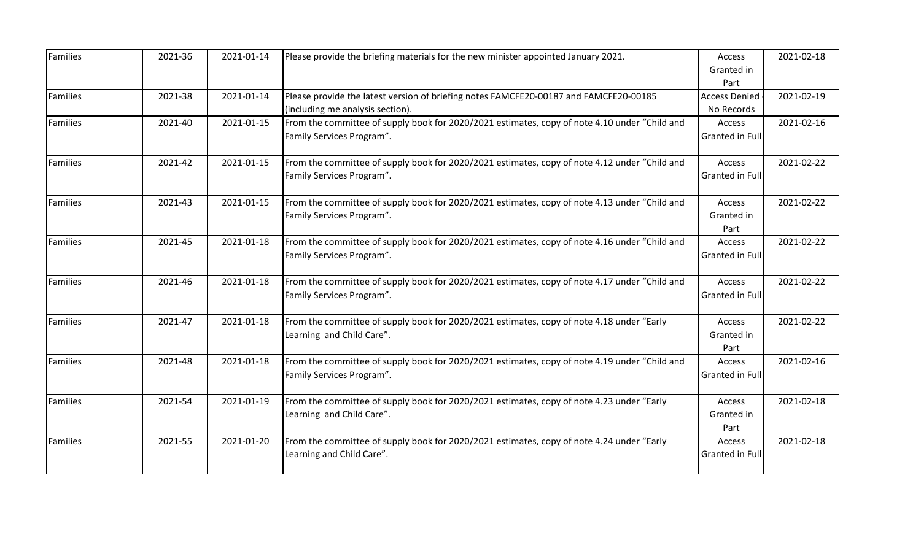| <b>Families</b> | 2021-36 | 2021-01-14 | Please provide the briefing materials for the new minister appointed January 2021.                                         | Access<br>Granted in<br>Part       | 2021-02-18 |
|-----------------|---------|------------|----------------------------------------------------------------------------------------------------------------------------|------------------------------------|------------|
| Families        | 2021-38 | 2021-01-14 | Please provide the latest version of briefing notes FAMCFE20-00187 and FAMCFE20-00185<br>(including me analysis section).  | <b>Access Denied</b><br>No Records | 2021-02-19 |
| <b>Families</b> | 2021-40 | 2021-01-15 | From the committee of supply book for 2020/2021 estimates, copy of note 4.10 under "Child and<br>Family Services Program". | Access<br>Granted in Full          | 2021-02-16 |
| Families        | 2021-42 | 2021-01-15 | From the committee of supply book for 2020/2021 estimates, copy of note 4.12 under "Child and<br>Family Services Program". | Access<br><b>Granted in Full</b>   | 2021-02-22 |
| <b>Families</b> | 2021-43 | 2021-01-15 | From the committee of supply book for 2020/2021 estimates, copy of note 4.13 under "Child and<br>Family Services Program". | Access<br>Granted in<br>Part       | 2021-02-22 |
| Families        | 2021-45 | 2021-01-18 | From the committee of supply book for 2020/2021 estimates, copy of note 4.16 under "Child and<br>Family Services Program". | Access<br><b>Granted in Full</b>   | 2021-02-22 |
| <b>Families</b> | 2021-46 | 2021-01-18 | From the committee of supply book for 2020/2021 estimates, copy of note 4.17 under "Child and<br>Family Services Program". | Access<br>Granted in Full          | 2021-02-22 |
| Families        | 2021-47 | 2021-01-18 | From the committee of supply book for 2020/2021 estimates, copy of note 4.18 under "Early<br>Learning and Child Care".     | Access<br>Granted in<br>Part       | 2021-02-22 |
| <b>Families</b> | 2021-48 | 2021-01-18 | From the committee of supply book for 2020/2021 estimates, copy of note 4.19 under "Child and<br>Family Services Program". | Access<br><b>Granted in Full</b>   | 2021-02-16 |
| Families        | 2021-54 | 2021-01-19 | From the committee of supply book for 2020/2021 estimates, copy of note 4.23 under "Early<br>Learning and Child Care".     | Access<br>Granted in<br>Part       | 2021-02-18 |
| <b>Families</b> | 2021-55 | 2021-01-20 | From the committee of supply book for 2020/2021 estimates, copy of note 4.24 under "Early<br>Learning and Child Care".     | Access<br>Granted in Full          | 2021-02-18 |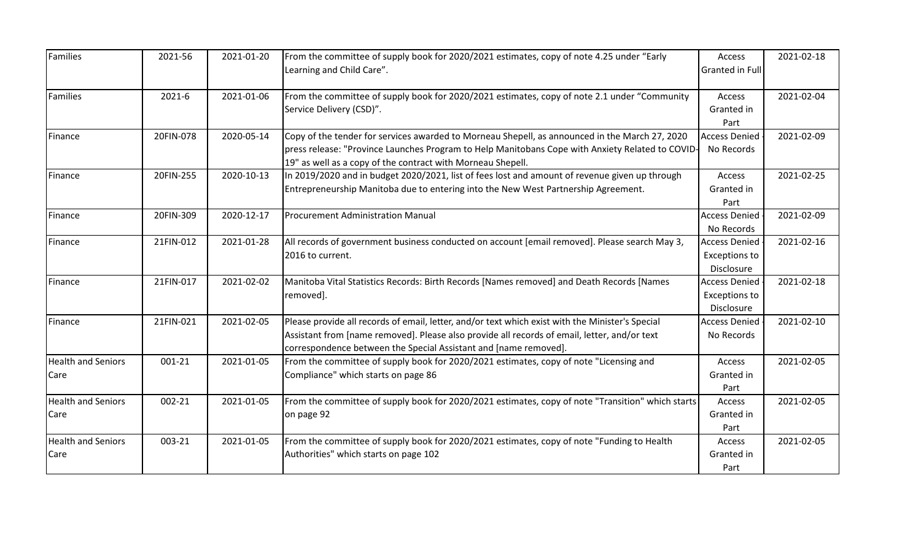| Families                          | 2021-56   | 2021-01-20 | From the committee of supply book for 2020/2021 estimates, copy of note 4.25 under "Early<br>Learning and Child Care".                                                                                                                                               | Access<br><b>Granted in Full</b>                           | 2021-02-18 |
|-----------------------------------|-----------|------------|----------------------------------------------------------------------------------------------------------------------------------------------------------------------------------------------------------------------------------------------------------------------|------------------------------------------------------------|------------|
| Families                          | 2021-6    | 2021-01-06 | From the committee of supply book for 2020/2021 estimates, copy of note 2.1 under "Community"<br>Service Delivery (CSD)".                                                                                                                                            | Access<br>Granted in<br>Part                               | 2021-02-04 |
| Finance                           | 20FIN-078 | 2020-05-14 | Copy of the tender for services awarded to Morneau Shepell, as announced in the March 27, 2020<br>press release: "Province Launches Program to Help Manitobans Cope with Anxiety Related to COVID-<br>19" as well as a copy of the contract with Morneau Shepell.    | <b>Access Denied</b><br>No Records                         | 2021-02-09 |
| Finance                           | 20FIN-255 | 2020-10-13 | In 2019/2020 and in budget 2020/2021, list of fees lost and amount of revenue given up through<br>Entrepreneurship Manitoba due to entering into the New West Partnership Agreement.                                                                                 | Access<br>Granted in<br>Part                               | 2021-02-25 |
| Finance                           | 20FIN-309 | 2020-12-17 | <b>Procurement Administration Manual</b>                                                                                                                                                                                                                             | <b>Access Denied</b><br>No Records                         | 2021-02-09 |
| Finance                           | 21FIN-012 | 2021-01-28 | All records of government business conducted on account [email removed]. Please search May 3,<br>2016 to current.                                                                                                                                                    | <b>Access Denied</b><br><b>Exceptions to</b><br>Disclosure | 2021-02-16 |
| Finance                           | 21FIN-017 | 2021-02-02 | Manitoba Vital Statistics Records: Birth Records [Names removed] and Death Records [Names<br>removed].                                                                                                                                                               | <b>Access Denied</b><br><b>Exceptions to</b><br>Disclosure | 2021-02-18 |
| Finance                           | 21FIN-021 | 2021-02-05 | Please provide all records of email, letter, and/or text which exist with the Minister's Special<br>Assistant from [name removed]. Please also provide all records of email, letter, and/or text<br>correspondence between the Special Assistant and [name removed]. | <b>Access Denied</b><br>No Records                         | 2021-02-10 |
| <b>Health and Seniors</b><br>Care | 001-21    | 2021-01-05 | From the committee of supply book for 2020/2021 estimates, copy of note "Licensing and<br>Compliance" which starts on page 86                                                                                                                                        | Access<br>Granted in<br>Part                               | 2021-02-05 |
| <b>Health and Seniors</b><br>Care | 002-21    | 2021-01-05 | From the committee of supply book for 2020/2021 estimates, copy of note "Transition" which starts<br>on page 92                                                                                                                                                      | Access<br>Granted in<br>Part                               | 2021-02-05 |
| <b>Health and Seniors</b><br>Care | 003-21    | 2021-01-05 | From the committee of supply book for 2020/2021 estimates, copy of note "Funding to Health<br>Authorities" which starts on page 102                                                                                                                                  | Access<br>Granted in<br>Part                               | 2021-02-05 |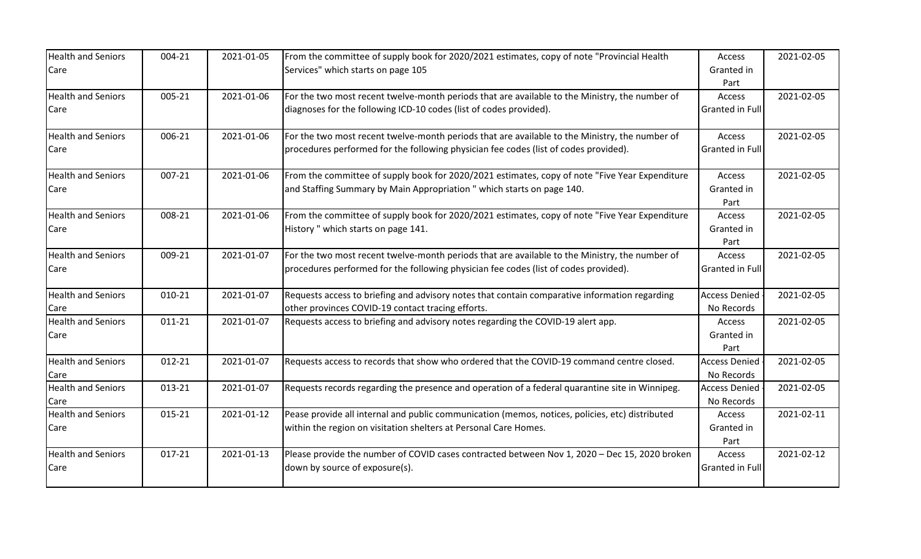| <b>Health and Seniors</b><br>Care | 004-21     | 2021-01-05 | From the committee of supply book for 2020/2021 estimates, copy of note "Provincial Health<br>Services" which starts on page 105                                                       | Access<br>Granted in               | 2021-02-05 |
|-----------------------------------|------------|------------|----------------------------------------------------------------------------------------------------------------------------------------------------------------------------------------|------------------------------------|------------|
|                                   |            |            |                                                                                                                                                                                        | Part                               |            |
| <b>Health and Seniors</b><br>Care | 005-21     | 2021-01-06 | For the two most recent twelve-month periods that are available to the Ministry, the number of<br>diagnoses for the following ICD-10 codes (list of codes provided).                   | Access<br>Granted in Full          | 2021-02-05 |
| <b>Health and Seniors</b><br>Care | 006-21     | 2021-01-06 | For the two most recent twelve-month periods that are available to the Ministry, the number of<br>procedures performed for the following physician fee codes (list of codes provided). | Access<br>Granted in Full          | 2021-02-05 |
| <b>Health and Seniors</b><br>Care | 007-21     | 2021-01-06 | From the committee of supply book for 2020/2021 estimates, copy of note "Five Year Expenditure"<br>and Staffing Summary by Main Appropriation " which starts on page 140.              | Access<br>Granted in<br>Part       | 2021-02-05 |
| <b>Health and Seniors</b><br>Care | 008-21     | 2021-01-06 | From the committee of supply book for 2020/2021 estimates, copy of note "Five Year Expenditure"<br>History " which starts on page 141.                                                 | Access<br>Granted in<br>Part       | 2021-02-05 |
| <b>Health and Seniors</b><br>Care | 009-21     | 2021-01-07 | For the two most recent twelve-month periods that are available to the Ministry, the number of<br>procedures performed for the following physician fee codes (list of codes provided). | Access<br><b>Granted in Full</b>   | 2021-02-05 |
| <b>Health and Seniors</b><br>Care | 010-21     | 2021-01-07 | Requests access to briefing and advisory notes that contain comparative information regarding<br>other provinces COVID-19 contact tracing efforts.                                     | <b>Access Denied</b><br>No Records | 2021-02-05 |
| <b>Health and Seniors</b><br>Care | 011-21     | 2021-01-07 | Requests access to briefing and advisory notes regarding the COVID-19 alert app.                                                                                                       | Access<br>Granted in<br>Part       | 2021-02-05 |
| <b>Health and Seniors</b><br>Care | 012-21     | 2021-01-07 | Requests access to records that show who ordered that the COVID-19 command centre closed.                                                                                              | <b>Access Denied</b><br>No Records | 2021-02-05 |
| <b>Health and Seniors</b><br>Care | 013-21     | 2021-01-07 | Requests records regarding the presence and operation of a federal quarantine site in Winnipeg.                                                                                        | <b>Access Denied</b><br>No Records | 2021-02-05 |
| <b>Health and Seniors</b><br>Care | 015-21     | 2021-01-12 | Pease provide all internal and public communication (memos, notices, policies, etc) distributed<br>within the region on visitation shelters at Personal Care Homes.                    | Access<br>Granted in<br>Part       | 2021-02-11 |
| <b>Health and Seniors</b><br>Care | $017 - 21$ | 2021-01-13 | Please provide the number of COVID cases contracted between Nov 1, 2020 - Dec 15, 2020 broken<br>down by source of exposure(s).                                                        | Access<br><b>Granted in Full</b>   | 2021-02-12 |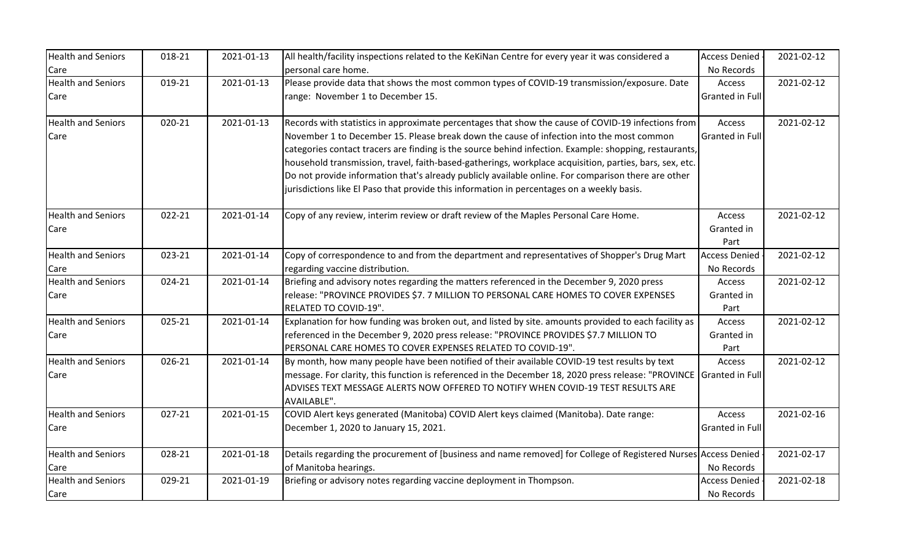| <b>Health and Seniors</b> | 018-21 | 2021-01-13 | All health/facility inspections related to the KeKiNan Centre for every year it was considered a                | <b>Access Denied</b>   | 2021-02-12 |
|---------------------------|--------|------------|-----------------------------------------------------------------------------------------------------------------|------------------------|------------|
| Care                      |        |            | personal care home.                                                                                             | No Records             |            |
| <b>Health and Seniors</b> | 019-21 | 2021-01-13 | Please provide data that shows the most common types of COVID-19 transmission/exposure. Date                    | Access                 | 2021-02-12 |
| Care                      |        |            | range: November 1 to December 15.                                                                               | Granted in Full        |            |
| <b>Health and Seniors</b> | 020-21 | 2021-01-13 | Records with statistics in approximate percentages that show the cause of COVID-19 infections from              | Access                 | 2021-02-12 |
| Care                      |        |            | November 1 to December 15. Please break down the cause of infection into the most common                        | Granted in Full        |            |
|                           |        |            | categories contact tracers are finding is the source behind infection. Example: shopping, restaurants,          |                        |            |
|                           |        |            | household transmission, travel, faith-based-gatherings, workplace acquisition, parties, bars, sex, etc.         |                        |            |
|                           |        |            | Do not provide information that's already publicly available online. For comparison there are other             |                        |            |
|                           |        |            | jurisdictions like El Paso that provide this information in percentages on a weekly basis.                      |                        |            |
| <b>Health and Seniors</b> | 022-21 | 2021-01-14 | Copy of any review, interim review or draft review of the Maples Personal Care Home.                            | Access                 | 2021-02-12 |
| Care                      |        |            |                                                                                                                 | Granted in             |            |
|                           |        |            |                                                                                                                 | Part                   |            |
| <b>Health and Seniors</b> | 023-21 | 2021-01-14 | Copy of correspondence to and from the department and representatives of Shopper's Drug Mart                    | <b>Access Denied</b>   | 2021-02-12 |
| Care                      |        |            | regarding vaccine distribution.                                                                                 | No Records             |            |
| <b>Health and Seniors</b> | 024-21 | 2021-01-14 | Briefing and advisory notes regarding the matters referenced in the December 9, 2020 press                      | Access                 | 2021-02-12 |
| Care                      |        |            | release: "PROVINCE PROVIDES \$7. 7 MILLION TO PERSONAL CARE HOMES TO COVER EXPENSES                             | Granted in             |            |
|                           |        |            | RELATED TO COVID-19".                                                                                           | Part                   |            |
| <b>Health and Seniors</b> | 025-21 | 2021-01-14 | Explanation for how funding was broken out, and listed by site. amounts provided to each facility as            | Access                 | 2021-02-12 |
| Care                      |        |            | referenced in the December 9, 2020 press release: "PROVINCE PROVIDES \$7.7 MILLION TO                           | Granted in             |            |
|                           |        |            | PERSONAL CARE HOMES TO COVER EXPENSES RELATED TO COVID-19".                                                     | Part                   |            |
| <b>Health and Seniors</b> | 026-21 | 2021-01-14 | By month, how many people have been notified of their available COVID-19 test results by text                   | Access                 | 2021-02-12 |
| Care                      |        |            | message. For clarity, this function is referenced in the December 18, 2020 press release: "PROVINCE             | <b>Granted in Full</b> |            |
|                           |        |            | ADVISES TEXT MESSAGE ALERTS NOW OFFERED TO NOTIFY WHEN COVID-19 TEST RESULTS ARE                                |                        |            |
|                           |        |            | AVAILABLE".                                                                                                     |                        |            |
| <b>Health and Seniors</b> | 027-21 | 2021-01-15 | COVID Alert keys generated (Manitoba) COVID Alert keys claimed (Manitoba). Date range:                          | Access                 | 2021-02-16 |
| Care                      |        |            | December 1, 2020 to January 15, 2021.                                                                           | <b>Granted in Full</b> |            |
| <b>Health and Seniors</b> | 028-21 | 2021-01-18 | Details regarding the procurement of [business and name removed] for College of Registered Nurses Access Denied |                        | 2021-02-17 |
| Care                      |        |            | of Manitoba hearings.                                                                                           | No Records             |            |
| <b>Health and Seniors</b> | 029-21 | 2021-01-19 | Briefing or advisory notes regarding vaccine deployment in Thompson.                                            | <b>Access Denied</b>   | 2021-02-18 |
| Care                      |        |            |                                                                                                                 | No Records             |            |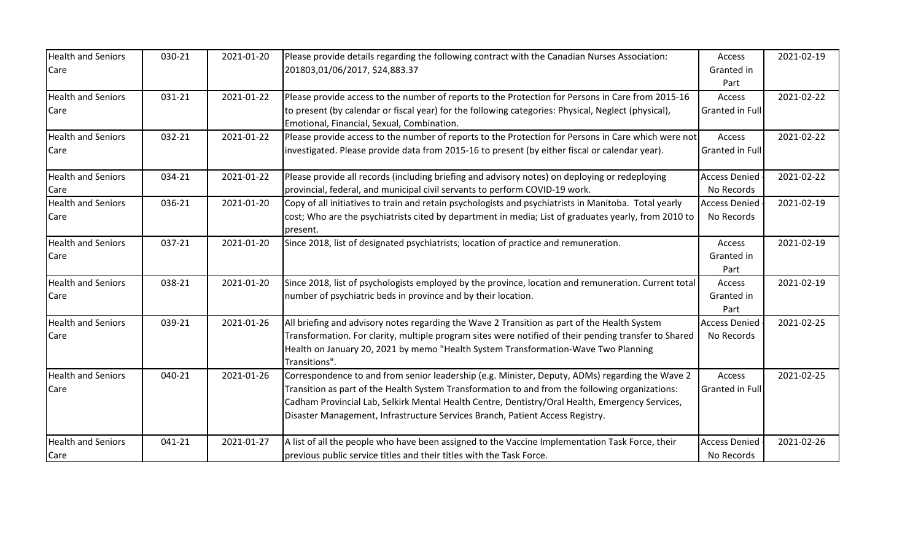| <b>Health and Seniors</b><br>Care | 030-21 | 2021-01-20 | Please provide details regarding the following contract with the Canadian Nurses Association:<br>201803,01/06/2017, \$24,883.37                   | Access<br>Granted in   | 2021-02-19 |
|-----------------------------------|--------|------------|---------------------------------------------------------------------------------------------------------------------------------------------------|------------------------|------------|
|                                   |        |            |                                                                                                                                                   | Part                   |            |
| <b>Health and Seniors</b>         | 031-21 | 2021-01-22 | Please provide access to the number of reports to the Protection for Persons in Care from 2015-16                                                 | Access                 | 2021-02-22 |
| Care                              |        |            | to present (by calendar or fiscal year) for the following categories: Physical, Neglect (physical),<br>Emotional, Financial, Sexual, Combination. | Granted in Full        |            |
| <b>Health and Seniors</b>         | 032-21 | 2021-01-22 | Please provide access to the number of reports to the Protection for Persons in Care which were not                                               | Access                 | 2021-02-22 |
| Care                              |        |            | investigated. Please provide data from 2015-16 to present (by either fiscal or calendar year).                                                    | Granted in Full        |            |
| <b>Health and Seniors</b>         | 034-21 | 2021-01-22 | Please provide all records (including briefing and advisory notes) on deploying or redeploying                                                    | <b>Access Denied</b>   | 2021-02-22 |
| Care                              |        |            | provincial, federal, and municipal civil servants to perform COVID-19 work.                                                                       | No Records             |            |
| <b>Health and Seniors</b>         | 036-21 | 2021-01-20 | Copy of all initiatives to train and retain psychologists and psychiatrists in Manitoba. Total yearly                                             | <b>Access Denied</b>   | 2021-02-19 |
| Care                              |        |            | cost; Who are the psychiatrists cited by department in media; List of graduates yearly, from 2010 to                                              | No Records             |            |
|                                   |        |            | present.                                                                                                                                          |                        |            |
| <b>Health and Seniors</b>         | 037-21 | 2021-01-20 | Since 2018, list of designated psychiatrists; location of practice and remuneration.                                                              | Access                 | 2021-02-19 |
| Care                              |        |            |                                                                                                                                                   | Granted in             |            |
|                                   |        |            |                                                                                                                                                   | Part                   |            |
| <b>Health and Seniors</b>         | 038-21 | 2021-01-20 | Since 2018, list of psychologists employed by the province, location and remuneration. Current total                                              | Access                 | 2021-02-19 |
| Care                              |        |            | number of psychiatric beds in province and by their location.                                                                                     | Granted in<br>Part     |            |
| <b>Health and Seniors</b>         | 039-21 | 2021-01-26 | All briefing and advisory notes regarding the Wave 2 Transition as part of the Health System                                                      | <b>Access Denied</b>   | 2021-02-25 |
| Care                              |        |            | Transformation. For clarity, multiple program sites were notified of their pending transfer to Shared                                             | No Records             |            |
|                                   |        |            | Health on January 20, 2021 by memo "Health System Transformation-Wave Two Planning                                                                |                        |            |
|                                   |        |            | Transitions".                                                                                                                                     |                        |            |
| <b>Health and Seniors</b>         | 040-21 | 2021-01-26 | Correspondence to and from senior leadership (e.g. Minister, Deputy, ADMs) regarding the Wave 2                                                   | Access                 | 2021-02-25 |
| Care                              |        |            | Transition as part of the Health System Transformation to and from the following organizations:                                                   | <b>Granted in Full</b> |            |
|                                   |        |            | Cadham Provincial Lab, Selkirk Mental Health Centre, Dentistry/Oral Health, Emergency Services,                                                   |                        |            |
|                                   |        |            | Disaster Management, Infrastructure Services Branch, Patient Access Registry.                                                                     |                        |            |
| <b>Health and Seniors</b>         | 041-21 | 2021-01-27 | A list of all the people who have been assigned to the Vaccine Implementation Task Force, their                                                   | <b>Access Denied</b>   | 2021-02-26 |
| Care                              |        |            | previous public service titles and their titles with the Task Force.                                                                              | No Records             |            |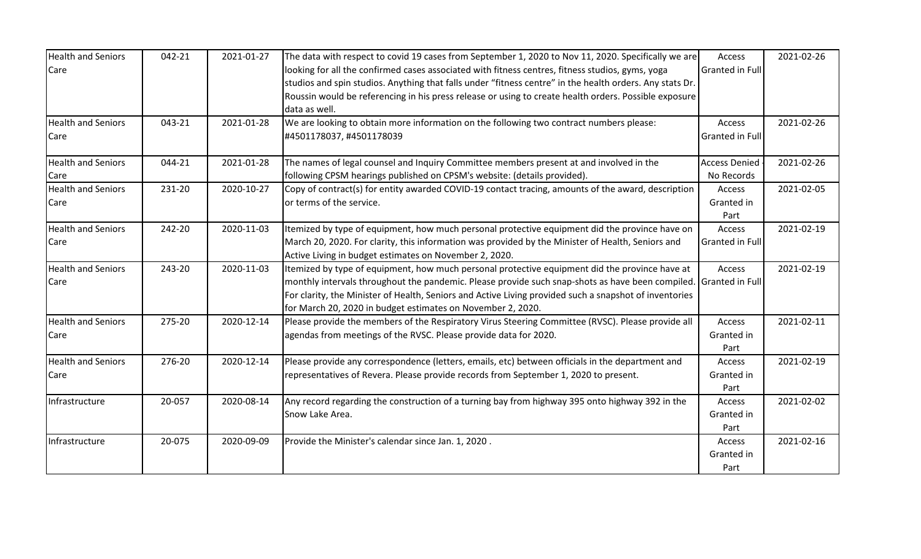| <b>Health and Seniors</b> | 042-21 | 2021-01-27 | The data with respect to covid 19 cases from September 1, 2020 to Nov 11, 2020. Specifically we are      | Access                 | 2021-02-26 |
|---------------------------|--------|------------|----------------------------------------------------------------------------------------------------------|------------------------|------------|
| Care                      |        |            | looking for all the confirmed cases associated with fitness centres, fitness studios, gyms, yoga         | <b>Granted in Full</b> |            |
|                           |        |            | studios and spin studios. Anything that falls under "fitness centre" in the health orders. Any stats Dr. |                        |            |
|                           |        |            | Roussin would be referencing in his press release or using to create health orders. Possible exposure    |                        |            |
|                           |        |            | data as well.                                                                                            |                        |            |
| <b>Health and Seniors</b> | 043-21 | 2021-01-28 | We are looking to obtain more information on the following two contract numbers please:                  | Access                 | 2021-02-26 |
| Care                      |        |            | #4501178037, #4501178039                                                                                 | Granted in Full        |            |
| <b>Health and Seniors</b> | 044-21 | 2021-01-28 | The names of legal counsel and Inquiry Committee members present at and involved in the                  | <b>Access Denied</b>   | 2021-02-26 |
| Care                      |        |            | following CPSM hearings published on CPSM's website: (details provided).                                 | No Records             |            |
| <b>Health and Seniors</b> | 231-20 | 2020-10-27 | Copy of contract(s) for entity awarded COVID-19 contact tracing, amounts of the award, description       | Access                 | 2021-02-05 |
| Care                      |        |            | or terms of the service.                                                                                 | Granted in             |            |
|                           |        |            |                                                                                                          | Part                   |            |
| <b>Health and Seniors</b> | 242-20 | 2020-11-03 | Itemized by type of equipment, how much personal protective equipment did the province have on           | Access                 | 2021-02-19 |
| Care                      |        |            | March 20, 2020. For clarity, this information was provided by the Minister of Health, Seniors and        | Granted in Full        |            |
|                           |        |            | Active Living in budget estimates on November 2, 2020.                                                   |                        |            |
| <b>Health and Seniors</b> | 243-20 | 2020-11-03 | Itemized by type of equipment, how much personal protective equipment did the province have at           | Access                 | 2021-02-19 |
| Care                      |        |            | monthly intervals throughout the pandemic. Please provide such snap-shots as have been compiled.         | <b>Granted in Full</b> |            |
|                           |        |            | For clarity, the Minister of Health, Seniors and Active Living provided such a snapshot of inventories   |                        |            |
|                           |        |            | for March 20, 2020 in budget estimates on November 2, 2020.                                              |                        |            |
| <b>Health and Seniors</b> | 275-20 | 2020-12-14 | Please provide the members of the Respiratory Virus Steering Committee (RVSC). Please provide all        | Access                 | 2021-02-11 |
| Care                      |        |            | agendas from meetings of the RVSC. Please provide data for 2020.                                         | Granted in             |            |
|                           |        |            |                                                                                                          | Part                   |            |
| <b>Health and Seniors</b> | 276-20 | 2020-12-14 | Please provide any correspondence (letters, emails, etc) between officials in the department and         | Access                 | 2021-02-19 |
| Care                      |        |            | representatives of Revera. Please provide records from September 1, 2020 to present.                     | Granted in             |            |
|                           |        |            |                                                                                                          | Part                   |            |
| Infrastructure            | 20-057 | 2020-08-14 | Any record regarding the construction of a turning bay from highway 395 onto highway 392 in the          | Access                 | 2021-02-02 |
|                           |        |            | Snow Lake Area.                                                                                          | Granted in             |            |
|                           |        |            |                                                                                                          | Part                   |            |
| Infrastructure            | 20-075 | 2020-09-09 | Provide the Minister's calendar since Jan. 1, 2020.                                                      | Access                 | 2021-02-16 |
|                           |        |            |                                                                                                          | Granted in             |            |
|                           |        |            |                                                                                                          | Part                   |            |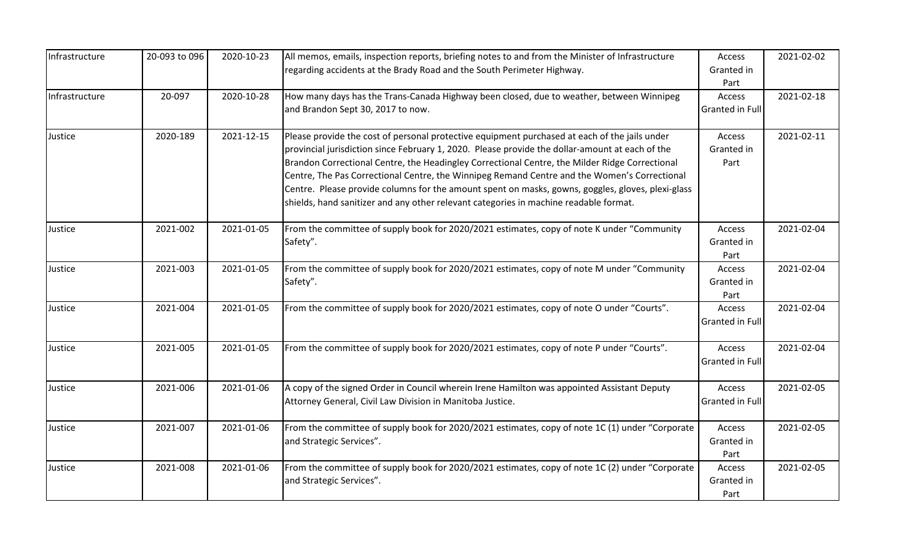| Infrastructure | 20-093 to 096 | 2020-10-23 | All memos, emails, inspection reports, briefing notes to and from the Minister of Infrastructure<br>regarding accidents at the Brady Road and the South Perimeter Highway.                                                                                                                                                                                                                                                                                                                                                                                                                       | Access<br>Granted in<br>Part     | 2021-02-02 |
|----------------|---------------|------------|--------------------------------------------------------------------------------------------------------------------------------------------------------------------------------------------------------------------------------------------------------------------------------------------------------------------------------------------------------------------------------------------------------------------------------------------------------------------------------------------------------------------------------------------------------------------------------------------------|----------------------------------|------------|
| Infrastructure | 20-097        | 2020-10-28 | How many days has the Trans-Canada Highway been closed, due to weather, between Winnipeg<br>and Brandon Sept 30, 2017 to now.                                                                                                                                                                                                                                                                                                                                                                                                                                                                    | Access<br>Granted in Full        | 2021-02-18 |
| Justice        | 2020-189      | 2021-12-15 | Please provide the cost of personal protective equipment purchased at each of the jails under<br>provincial jurisdiction since February 1, 2020. Please provide the dollar-amount at each of the<br>Brandon Correctional Centre, the Headingley Correctional Centre, the Milder Ridge Correctional<br>Centre, The Pas Correctional Centre, the Winnipeg Remand Centre and the Women's Correctional<br>Centre. Please provide columns for the amount spent on masks, gowns, goggles, gloves, plexi-glass<br>shields, hand sanitizer and any other relevant categories in machine readable format. | Access<br>Granted in<br>Part     | 2021-02-11 |
| Justice        | 2021-002      | 2021-01-05 | From the committee of supply book for 2020/2021 estimates, copy of note K under "Community<br>Safety".                                                                                                                                                                                                                                                                                                                                                                                                                                                                                           | Access<br>Granted in<br>Part     | 2021-02-04 |
| Justice        | 2021-003      | 2021-01-05 | From the committee of supply book for 2020/2021 estimates, copy of note M under "Community"<br>Safety".                                                                                                                                                                                                                                                                                                                                                                                                                                                                                          | Access<br>Granted in<br>Part     | 2021-02-04 |
| Justice        | 2021-004      | 2021-01-05 | From the committee of supply book for 2020/2021 estimates, copy of note O under "Courts".                                                                                                                                                                                                                                                                                                                                                                                                                                                                                                        | Access<br>Granted in Full        | 2021-02-04 |
| Justice        | 2021-005      | 2021-01-05 | From the committee of supply book for 2020/2021 estimates, copy of note P under "Courts".                                                                                                                                                                                                                                                                                                                                                                                                                                                                                                        | Access<br><b>Granted in Full</b> | 2021-02-04 |
| Justice        | 2021-006      | 2021-01-06 | A copy of the signed Order in Council wherein Irene Hamilton was appointed Assistant Deputy<br>Attorney General, Civil Law Division in Manitoba Justice.                                                                                                                                                                                                                                                                                                                                                                                                                                         | Access<br>Granted in Full        | 2021-02-05 |
| Justice        | 2021-007      | 2021-01-06 | From the committee of supply book for 2020/2021 estimates, copy of note 1C (1) under "Corporate<br>and Strategic Services".                                                                                                                                                                                                                                                                                                                                                                                                                                                                      | Access<br>Granted in<br>Part     | 2021-02-05 |
| Justice        | 2021-008      | 2021-01-06 | From the committee of supply book for 2020/2021 estimates, copy of note 1C (2) under "Corporate<br>and Strategic Services".                                                                                                                                                                                                                                                                                                                                                                                                                                                                      | Access<br>Granted in<br>Part     | 2021-02-05 |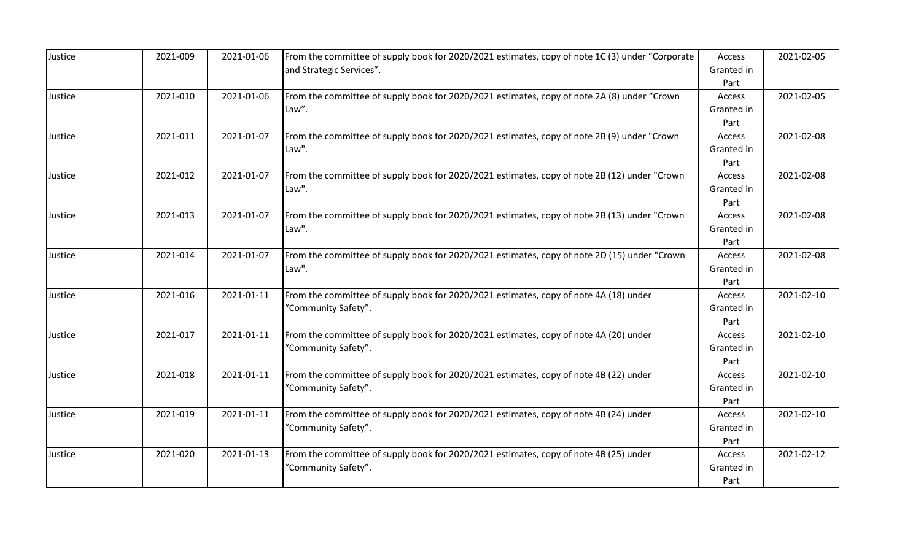| Justice | 2021-009 | 2021-01-06 | From the committee of supply book for 2020/2021 estimates, copy of note 1C (3) under "Corporate"<br>and Strategic Services". | Access<br>Granted in         | 2021-02-05 |
|---------|----------|------------|------------------------------------------------------------------------------------------------------------------------------|------------------------------|------------|
| Justice | 2021-010 | 2021-01-06 | From the committee of supply book for 2020/2021 estimates, copy of note 2A (8) under "Crown                                  | Part<br>Access               | 2021-02-05 |
|         |          |            | Law".                                                                                                                        | Granted in<br>Part           |            |
| Justice | 2021-011 | 2021-01-07 | From the committee of supply book for 2020/2021 estimates, copy of note 2B (9) under "Crown<br>Law".                         | Access<br>Granted in<br>Part | 2021-02-08 |
| Justice | 2021-012 | 2021-01-07 | From the committee of supply book for 2020/2021 estimates, copy of note 2B (12) under "Crown<br>Law".                        | Access<br>Granted in<br>Part | 2021-02-08 |
| Justice | 2021-013 | 2021-01-07 | From the committee of supply book for 2020/2021 estimates, copy of note 2B (13) under "Crown<br>Law".                        | Access<br>Granted in<br>Part | 2021-02-08 |
| Justice | 2021-014 | 2021-01-07 | From the committee of supply book for 2020/2021 estimates, copy of note 2D (15) under "Crown<br>Law".                        | Access<br>Granted in<br>Part | 2021-02-08 |
| Justice | 2021-016 | 2021-01-11 | From the committee of supply book for 2020/2021 estimates, copy of note 4A (18) under<br>'Community Safety".                 | Access<br>Granted in<br>Part | 2021-02-10 |
| Justice | 2021-017 | 2021-01-11 | From the committee of supply book for 2020/2021 estimates, copy of note 4A (20) under<br>'Community Safety".                 | Access<br>Granted in<br>Part | 2021-02-10 |
| Justice | 2021-018 | 2021-01-11 | From the committee of supply book for 2020/2021 estimates, copy of note 4B (22) under<br>'Community Safety".                 | Access<br>Granted in<br>Part | 2021-02-10 |
| Justice | 2021-019 | 2021-01-11 | From the committee of supply book for 2020/2021 estimates, copy of note 4B (24) under<br>'Community Safety".                 | Access<br>Granted in<br>Part | 2021-02-10 |
| Justice | 2021-020 | 2021-01-13 | From the committee of supply book for 2020/2021 estimates, copy of note 4B (25) under<br>'Community Safety".                 | Access<br>Granted in<br>Part | 2021-02-12 |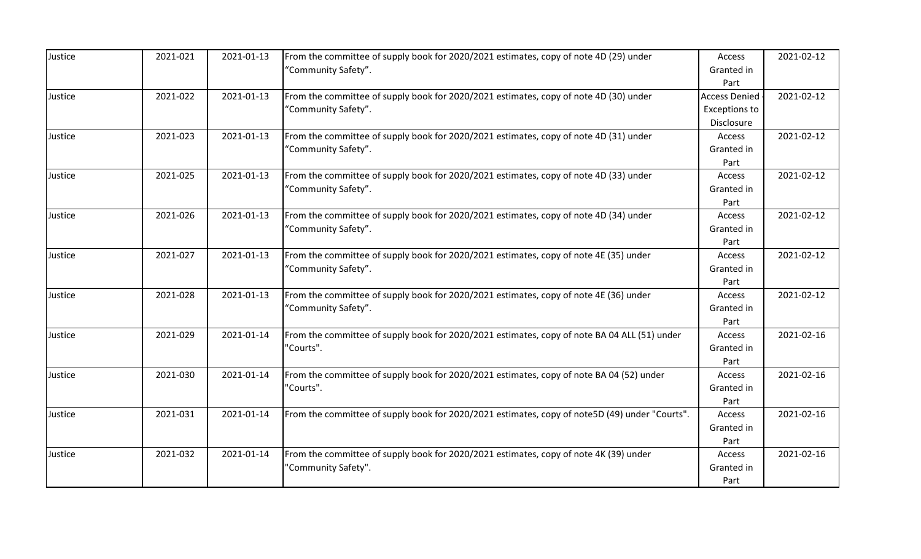| Justice | 2021-021 | 2021-01-13 | From the committee of supply book for 2020/2021 estimates, copy of note 4D (29) under<br>'Community Safety". | Access<br>Granted in<br>Part                               | 2021-02-12 |
|---------|----------|------------|--------------------------------------------------------------------------------------------------------------|------------------------------------------------------------|------------|
| Justice | 2021-022 | 2021-01-13 | From the committee of supply book for 2020/2021 estimates, copy of note 4D (30) under<br>"Community Safety". | <b>Access Denied</b><br><b>Exceptions to</b><br>Disclosure | 2021-02-12 |
| Justice | 2021-023 | 2021-01-13 | From the committee of supply book for 2020/2021 estimates, copy of note 4D (31) under<br>'Community Safety". | Access<br>Granted in<br>Part                               | 2021-02-12 |
| Justice | 2021-025 | 2021-01-13 | From the committee of supply book for 2020/2021 estimates, copy of note 4D (33) under<br>"Community Safety". | Access<br>Granted in<br>Part                               | 2021-02-12 |
| Justice | 2021-026 | 2021-01-13 | From the committee of supply book for 2020/2021 estimates, copy of note 4D (34) under<br>'Community Safety". | Access<br>Granted in<br>Part                               | 2021-02-12 |
| Justice | 2021-027 | 2021-01-13 | From the committee of supply book for 2020/2021 estimates, copy of note 4E (35) under<br>"Community Safety". | Access<br>Granted in<br>Part                               | 2021-02-12 |
| Justice | 2021-028 | 2021-01-13 | From the committee of supply book for 2020/2021 estimates, copy of note 4E (36) under<br>"Community Safety". | Access<br>Granted in<br>Part                               | 2021-02-12 |
| Justice | 2021-029 | 2021-01-14 | From the committee of supply book for 2020/2021 estimates, copy of note BA 04 ALL (51) under<br>"Courts".    | Access<br>Granted in<br>Part                               | 2021-02-16 |
| Justice | 2021-030 | 2021-01-14 | From the committee of supply book for 2020/2021 estimates, copy of note BA 04 (52) under<br>"Courts".        | Access<br>Granted in<br>Part                               | 2021-02-16 |
| Justice | 2021-031 | 2021-01-14 | From the committee of supply book for 2020/2021 estimates, copy of note5D (49) under "Courts".               | Access<br>Granted in<br>Part                               | 2021-02-16 |
| Justice | 2021-032 | 2021-01-14 | From the committee of supply book for 2020/2021 estimates, copy of note 4K (39) under<br>"Community Safety". | Access<br>Granted in<br>Part                               | 2021-02-16 |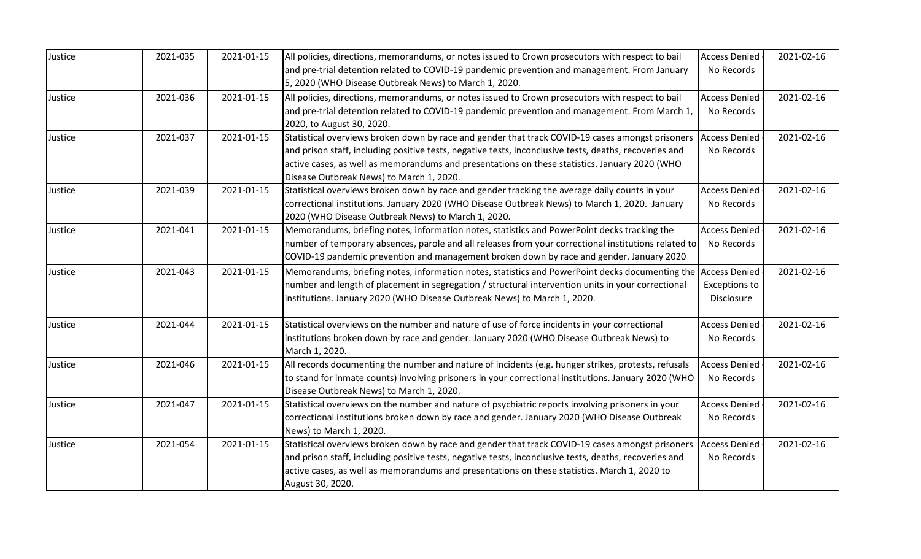| Justice | 2021-035 | 2021-01-15 | All policies, directions, memorandums, or notes issued to Crown prosecutors with respect to bail                                                      | <b>Access Denied</b> | 2021-02-16 |
|---------|----------|------------|-------------------------------------------------------------------------------------------------------------------------------------------------------|----------------------|------------|
|         |          |            | and pre-trial detention related to COVID-19 pandemic prevention and management. From January<br>5, 2020 (WHO Disease Outbreak News) to March 1, 2020. | No Records           |            |
| Justice | 2021-036 | 2021-01-15 | All policies, directions, memorandums, or notes issued to Crown prosecutors with respect to bail                                                      | <b>Access Denied</b> | 2021-02-16 |
|         |          |            | and pre-trial detention related to COVID-19 pandemic prevention and management. From March 1,<br>2020, to August 30, 2020.                            | No Records           |            |
| Justice | 2021-037 | 2021-01-15 | Statistical overviews broken down by race and gender that track COVID-19 cases amongst prisoners                                                      | <b>Access Denied</b> | 2021-02-16 |
|         |          |            | and prison staff, including positive tests, negative tests, inconclusive tests, deaths, recoveries and                                                | No Records           |            |
|         |          |            | active cases, as well as memorandums and presentations on these statistics. January 2020 (WHO                                                         |                      |            |
|         |          |            | Disease Outbreak News) to March 1, 2020.                                                                                                              |                      |            |
| Justice | 2021-039 | 2021-01-15 | Statistical overviews broken down by race and gender tracking the average daily counts in your                                                        | <b>Access Denied</b> | 2021-02-16 |
|         |          |            | correctional institutions. January 2020 (WHO Disease Outbreak News) to March 1, 2020. January                                                         | No Records           |            |
|         |          |            | 2020 (WHO Disease Outbreak News) to March 1, 2020.                                                                                                    |                      |            |
| Justice | 2021-041 | 2021-01-15 | Memorandums, briefing notes, information notes, statistics and PowerPoint decks tracking the                                                          | <b>Access Denied</b> | 2021-02-16 |
|         |          |            | number of temporary absences, parole and all releases from your correctional institutions related to                                                  | No Records           |            |
|         |          |            | COVID-19 pandemic prevention and management broken down by race and gender. January 2020                                                              |                      |            |
| Justice | 2021-043 | 2021-01-15 | Memorandums, briefing notes, information notes, statistics and PowerPoint decks documenting the                                                       | <b>Access Denied</b> | 2021-02-16 |
|         |          |            | number and length of placement in segregation / structural intervention units in your correctional                                                    | <b>Exceptions to</b> |            |
|         |          |            | institutions. January 2020 (WHO Disease Outbreak News) to March 1, 2020.                                                                              | Disclosure           |            |
| Justice | 2021-044 | 2021-01-15 | Statistical overviews on the number and nature of use of force incidents in your correctional                                                         | <b>Access Denied</b> | 2021-02-16 |
|         |          |            | institutions broken down by race and gender. January 2020 (WHO Disease Outbreak News) to                                                              | No Records           |            |
|         |          |            | March 1, 2020.                                                                                                                                        |                      |            |
| Justice | 2021-046 | 2021-01-15 | All records documenting the number and nature of incidents (e.g. hunger strikes, protests, refusals                                                   | <b>Access Denied</b> | 2021-02-16 |
|         |          |            | to stand for inmate counts) involving prisoners in your correctional institutions. January 2020 (WHO                                                  | No Records           |            |
|         |          |            | Disease Outbreak News) to March 1, 2020.                                                                                                              |                      |            |
| Justice | 2021-047 | 2021-01-15 | Statistical overviews on the number and nature of psychiatric reports involving prisoners in your                                                     | <b>Access Denied</b> | 2021-02-16 |
|         |          |            | correctional institutions broken down by race and gender. January 2020 (WHO Disease Outbreak                                                          | No Records           |            |
|         |          |            | News) to March 1, 2020.                                                                                                                               |                      |            |
| Justice | 2021-054 | 2021-01-15 | Statistical overviews broken down by race and gender that track COVID-19 cases amongst prisoners                                                      | <b>Access Denied</b> | 2021-02-16 |
|         |          |            | and prison staff, including positive tests, negative tests, inconclusive tests, deaths, recoveries and                                                | No Records           |            |
|         |          |            | active cases, as well as memorandums and presentations on these statistics. March 1, 2020 to                                                          |                      |            |
|         |          |            | August 30, 2020.                                                                                                                                      |                      |            |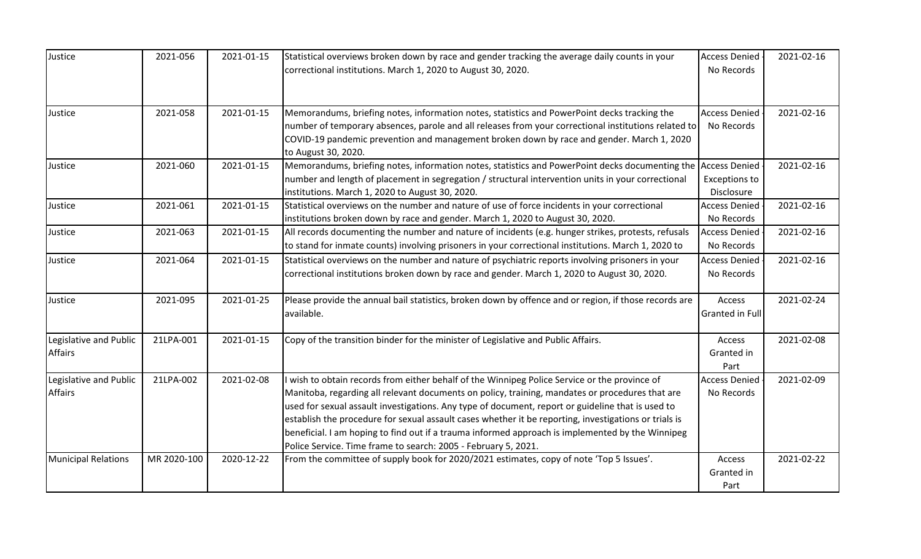| Justice                    | 2021-056    | 2021-01-15 | Statistical overviews broken down by race and gender tracking the average daily counts in your                | <b>Access Denied</b>   | 2021-02-16 |
|----------------------------|-------------|------------|---------------------------------------------------------------------------------------------------------------|------------------------|------------|
|                            |             |            | correctional institutions. March 1, 2020 to August 30, 2020.                                                  | No Records             |            |
|                            |             |            |                                                                                                               |                        |            |
|                            |             |            |                                                                                                               |                        |            |
| Justice                    | 2021-058    | 2021-01-15 | Memorandums, briefing notes, information notes, statistics and PowerPoint decks tracking the                  | <b>Access Denied</b>   | 2021-02-16 |
|                            |             |            | number of temporary absences, parole and all releases from your correctional institutions related to          | No Records             |            |
|                            |             |            | COVID-19 pandemic prevention and management broken down by race and gender. March 1, 2020                     |                        |            |
|                            |             |            | to August 30, 2020.                                                                                           |                        |            |
| Justice                    | 2021-060    | 2021-01-15 | Memorandums, briefing notes, information notes, statistics and PowerPoint decks documenting the Access Denied |                        | 2021-02-16 |
|                            |             |            | number and length of placement in segregation / structural intervention units in your correctional            | <b>Exceptions to</b>   |            |
|                            |             |            | institutions. March 1, 2020 to August 30, 2020.                                                               | Disclosure             |            |
| Justice                    | 2021-061    | 2021-01-15 | Statistical overviews on the number and nature of use of force incidents in your correctional                 | <b>Access Denied</b>   | 2021-02-16 |
|                            |             |            | institutions broken down by race and gender. March 1, 2020 to August 30, 2020.                                | No Records             |            |
| Justice                    | 2021-063    | 2021-01-15 | All records documenting the number and nature of incidents (e.g. hunger strikes, protests, refusals           | <b>Access Denied</b>   | 2021-02-16 |
|                            |             |            | to stand for inmate counts) involving prisoners in your correctional institutions. March 1, 2020 to           | No Records             |            |
| Justice                    | 2021-064    | 2021-01-15 | Statistical overviews on the number and nature of psychiatric reports involving prisoners in your             | <b>Access Denied</b>   | 2021-02-16 |
|                            |             |            | correctional institutions broken down by race and gender. March 1, 2020 to August 30, 2020.                   | No Records             |            |
|                            |             |            |                                                                                                               |                        |            |
| Justice                    | 2021-095    | 2021-01-25 | Please provide the annual bail statistics, broken down by offence and or region, if those records are         | Access                 | 2021-02-24 |
|                            |             |            | available.                                                                                                    | <b>Granted in Full</b> |            |
|                            |             |            |                                                                                                               |                        |            |
| Legislative and Public     | 21LPA-001   | 2021-01-15 | Copy of the transition binder for the minister of Legislative and Public Affairs.                             | Access                 | 2021-02-08 |
| <b>Affairs</b>             |             |            |                                                                                                               | Granted in             |            |
|                            |             |            |                                                                                                               | Part                   |            |
| Legislative and Public     | 21LPA-002   | 2021-02-08 | wish to obtain records from either behalf of the Winnipeg Police Service or the province of                   | <b>Access Denied</b>   | 2021-02-09 |
| <b>Affairs</b>             |             |            | Manitoba, regarding all relevant documents on policy, training, mandates or procedures that are               | No Records             |            |
|                            |             |            | used for sexual assault investigations. Any type of document, report or guideline that is used to             |                        |            |
|                            |             |            | establish the procedure for sexual assault cases whether it be reporting, investigations or trials is         |                        |            |
|                            |             |            | beneficial. I am hoping to find out if a trauma informed approach is implemented by the Winnipeg              |                        |            |
|                            |             |            | Police Service. Time frame to search: 2005 - February 5, 2021.                                                |                        |            |
| <b>Municipal Relations</b> | MR 2020-100 | 2020-12-22 | From the committee of supply book for 2020/2021 estimates, copy of note 'Top 5 Issues'.                       | Access                 | 2021-02-22 |
|                            |             |            |                                                                                                               | Granted in             |            |
|                            |             |            |                                                                                                               | Part                   |            |